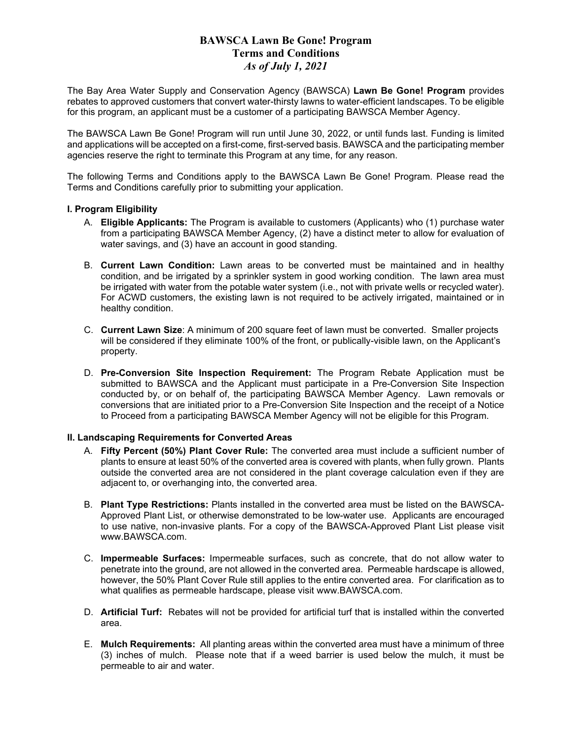## **BAWSCA Lawn Be Gone! Program Terms and Conditions** *As of July 1, 2021*

The Bay Area Water Supply and Conservation Agency (BAWSCA) **Lawn Be Gone! Program** provides rebates to approved customers that convert water-thirsty lawns to water-efficient landscapes. To be eligible for this program, an applicant must be a customer of a participating BAWSCA Member Agency.

The BAWSCA Lawn Be Gone! Program will run until June 30, 2022, or until funds last. Funding is limited and applications will be accepted on a first-come, first-served basis. BAWSCA and the participating member agencies reserve the right to terminate this Program at any time, for any reason.

The following Terms and Conditions apply to the BAWSCA Lawn Be Gone! Program. Please read the Terms and Conditions carefully prior to submitting your application.

### **I. Program Eligibility**

- A. **Eligible Applicants:** The Program is available to customers (Applicants) who (1) purchase water from a participating BAWSCA Member Agency, (2) have a distinct meter to allow for evaluation of water savings, and (3) have an account in good standing.
- B. **Current Lawn Condition:** Lawn areas to be converted must be maintained and in healthy condition, and be irrigated by a sprinkler system in good working condition. The lawn area must be irrigated with water from the potable water system (i.e., not with private wells or recycled water). For ACWD customers, the existing lawn is not required to be actively irrigated, maintained or in healthy condition.
- C. **Current Lawn Size**: A minimum of 200 square feet of lawn must be converted. Smaller projects will be considered if they eliminate 100% of the front, or publically-visible lawn, on the Applicant's property.
- D. **Pre-Conversion Site Inspection Requirement:** The Program Rebate Application must be submitted to BAWSCA and the Applicant must participate in a Pre-Conversion Site Inspection conducted by, or on behalf of, the participating BAWSCA Member Agency. Lawn removals or conversions that are initiated prior to a Pre-Conversion Site Inspection and the receipt of a Notice to Proceed from a participating BAWSCA Member Agency will not be eligible for this Program.

### **II. Landscaping Requirements for Converted Areas**

- A. **Fifty Percent (50%) Plant Cover Rule:** The converted area must include a sufficient number of plants to ensure at least 50% of the converted area is covered with plants, when fully grown. Plants outside the converted area are not considered in the plant coverage calculation even if they are adjacent to, or overhanging into, the converted area.
- B. **Plant Type Restrictions:** Plants installed in the converted area must be listed on the BAWSCA-Approved Plant List, or otherwise demonstrated to be low-water use. Applicants are encouraged to use native, non-invasive plants. For a copy of the BAWSCA-Approved Plant List please visit www.BAWSCA.com.
- C. **Impermeable Surfaces:** Impermeable surfaces, such as concrete, that do not allow water to penetrate into the ground, are not allowed in the converted area. Permeable hardscape is allowed, however, the 50% Plant Cover Rule still applies to the entire converted area. For clarification as to what qualifies as permeable hardscape, please visit www.BAWSCA.com.
- D. **Artificial Turf:** Rebates will not be provided for artificial turf that is installed within the converted area.
- E. **Mulch Requirements:** All planting areas within the converted area must have a minimum of three (3) inches of mulch. Please note that if a weed barrier is used below the mulch, it must be permeable to air and water.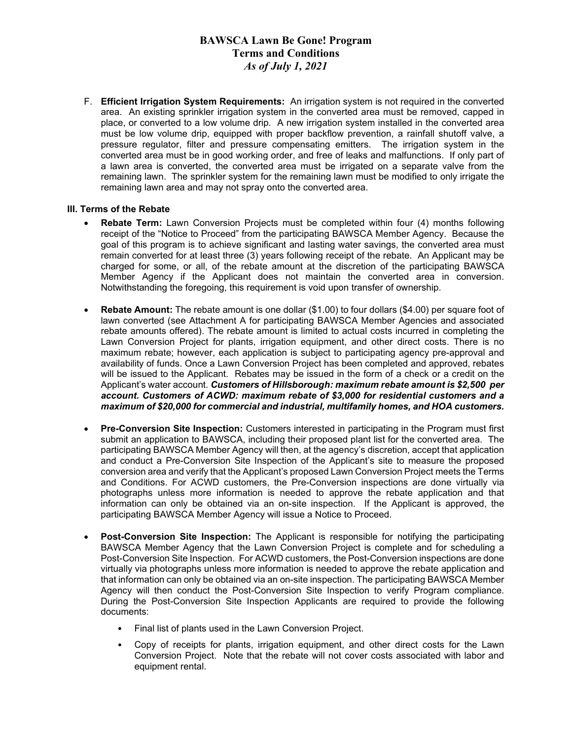## **BAWSCA Lawn Be Gone! Program Terms and Conditions** *As of July 1, 2021*

F. **Efficient Irrigation System Requirements:** An irrigation system is not required in the converted area. An existing sprinkler irrigation system in the converted area must be removed, capped in place, or converted to a low volume drip. A new irrigation system installed in the converted area must be low volume drip, equipped with proper backflow prevention, a rainfall shutoff valve, a pressure regulator, filter and pressure compensating emitters. The irrigation system in the converted area must be in good working order, and free of leaks and malfunctions. If only part of a lawn area is converted, the converted area must be irrigated on a separate valve from the remaining lawn. The sprinkler system for the remaining lawn must be modified to only irrigate the remaining lawn area and may not spray onto the converted area.

### **III. Terms of the Rebate**

- **Rebate Term:** Lawn Conversion Projects must be completed within four (4) months following receipt of the "Notice to Proceed" from the participating BAWSCA Member Agency. Because the goal of this program is to achieve significant and lasting water savings, the converted area must remain converted for at least three (3) years following receipt of the rebate. An Applicant may be charged for some, or all, of the rebate amount at the discretion of the participating BAWSCA Member Agency if the Applicant does not maintain the converted area in conversion. Notwithstanding the foregoing, this requirement is void upon transfer of ownership.
- **Rebate Amount:** The rebate amount is one dollar (\$1.00) to four dollars (\$4.00) per square foot of lawn converted (see Attachment A for participating BAWSCA Member Agencies and associated rebate amounts offered). The rebate amount is limited to actual costs incurred in completing the Lawn Conversion Project for plants, irrigation equipment, and other direct costs. There is no maximum rebate; however, each application is subject to participating agency pre-approval and availability of funds. Once a Lawn Conversion Project has been completed and approved, rebates will be issued to the Applicant. Rebates may be issued in the form of a check or a credit on the Applicant's water account. *Customers of Hillsborough: maximum rebate amount is \$2,500 per account. Customers of ACWD: maximum rebate of \$3,000 for residential customers and a maximum of \$20,000 for commercial and industrial, multifamily homes, and HOA customers.*
- **Pre-Conversion Site Inspection:** Customers interested in participating in the Program must first submit an application to BAWSCA, including their proposed plant list for the converted area. The participating BAWSCA Member Agency will then, at the agency's discretion, accept that application and conduct a Pre-Conversion Site Inspection of the Applicant's site to measure the proposed conversion area and verify that the Applicant's proposed Lawn Conversion Project meets the Terms and Conditions. For ACWD customers, the Pre-Conversion inspections are done virtually via photographs unless more information is needed to approve the rebate application and that information can only be obtained via an on-site inspection. If the Applicant is approved, the participating BAWSCA Member Agency will issue a Notice to Proceed.
- **Post-Conversion Site Inspection:** The Applicant is responsible for notifying the participating BAWSCA Member Agency that the Lawn Conversion Project is complete and for scheduling a Post-Conversion Site Inspection. For ACWD customers, the Post-Conversion inspections are done virtually via photographs unless more information is needed to approve the rebate application and that information can only be obtained via an on-site inspection. The participating BAWSCA Member Agency will then conduct the Post-Conversion Site Inspection to verify Program compliance. During the Post-Conversion Site Inspection Applicants are required to provide the following documents:
	- Final list of plants used in the Lawn Conversion Project.
	- Copy of receipts for plants, irrigation equipment, and other direct costs for the Lawn Conversion Project. Note that the rebate will not cover costs associated with labor and equipment rental.